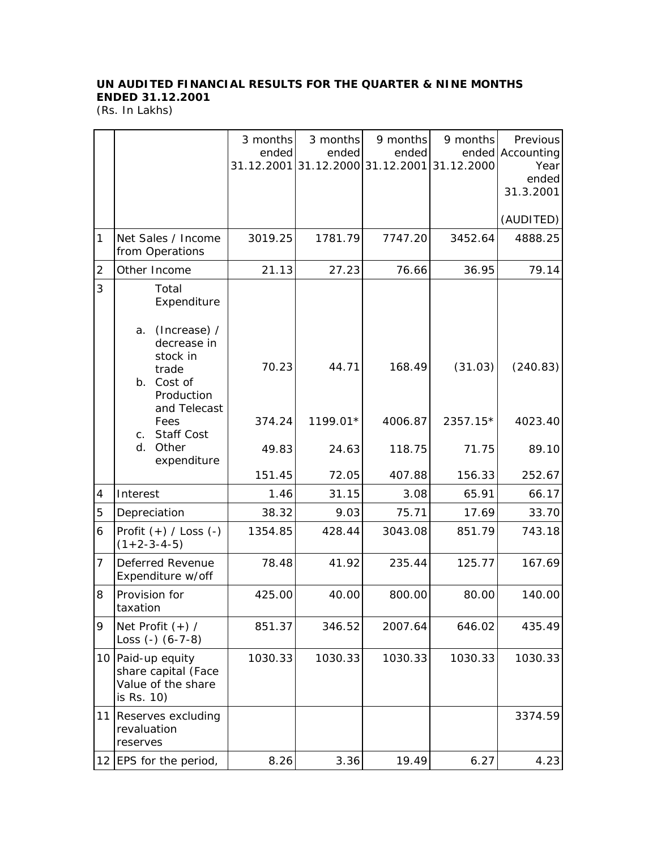## **UN AUDITED FINANCIAL RESULTS FOR THE QUARTER & NINE MONTHS ENDED 31.12.2001**

(Rs. In Lakhs)

|    |                                                                                                    | 3 months | 3 months                                  | 9 months | 9 months   | Previous                 |
|----|----------------------------------------------------------------------------------------------------|----------|-------------------------------------------|----------|------------|--------------------------|
|    |                                                                                                    | ended    | ended<br>31.12.2001 31.12.2000 31.12.2001 | ended    | 31.12.2000 | ended Accounting<br>Year |
|    |                                                                                                    |          |                                           |          |            | ended                    |
|    |                                                                                                    |          |                                           |          |            | 31.3.2001                |
|    |                                                                                                    |          |                                           |          |            | (AUDITED)                |
| 1  | Net Sales / Income<br>from Operations                                                              | 3019.25  | 1781.79                                   | 7747.20  | 3452.64    | 4888.25                  |
| 2  | Other Income                                                                                       | 21.13    | 27.23                                     | 76.66    | 36.95      | 79.14                    |
| 3  | Total<br>Expenditure                                                                               |          |                                           |          |            |                          |
|    | (Increase) /<br>a.<br>decrease in<br>stock in<br>trade<br>b. Cost of<br>Production<br>and Telecast | 70.23    | 44.71                                     | 168.49   | (31.03)    | (240.83)                 |
|    | Fees<br><b>Staff Cost</b><br>$C_{1}$                                                               | 374.24   | 1199.01*                                  | 4006.87  | 2357.15*   | 4023.40                  |
|    | d.<br>Other<br>expenditure                                                                         | 49.83    | 24.63                                     | 118.75   | 71.75      | 89.10                    |
|    |                                                                                                    | 151.45   | 72.05                                     | 407.88   | 156.33     | 252.67                   |
| 4  | Interest                                                                                           | 1.46     | 31.15                                     | 3.08     | 65.91      | 66.17                    |
| 5  | Depreciation                                                                                       | 38.32    | 9.03                                      | 75.71    | 17.69      | 33.70                    |
| 6  | Profit $(+)$ / Loss $(-)$<br>$(1+2-3-4-5)$                                                         | 1354.85  | 428.44                                    | 3043.08  | 851.79     | 743.18                   |
| 7  | Deferred Revenue<br>Expenditure w/off                                                              | 78.48    | 41.92                                     | 235.44   | 125.77     | 167.69                   |
| 8  | Provision for<br>taxation                                                                          | 425.00   | 40.00                                     | 800.00   | 80.00      | 140.00                   |
| 9  | Net Profit $(+)$ /<br>Loss $(-)$ $(6-7-8)$                                                         | 851.37   | 346.52                                    | 2007.64  | 646.02     | 435.49                   |
| 10 | Paid-up equity<br>share capital (Face<br>Value of the share<br>is Rs. 10)                          | 1030.33  | 1030.33                                   | 1030.33  | 1030.33    | 1030.33                  |
| 11 | Reserves excluding<br>revaluation<br>reserves                                                      |          |                                           |          |            | 3374.59                  |
|    | 12 EPS for the period,                                                                             | 8.26     | 3.36                                      | 19.49    | 6.27       | 4.23                     |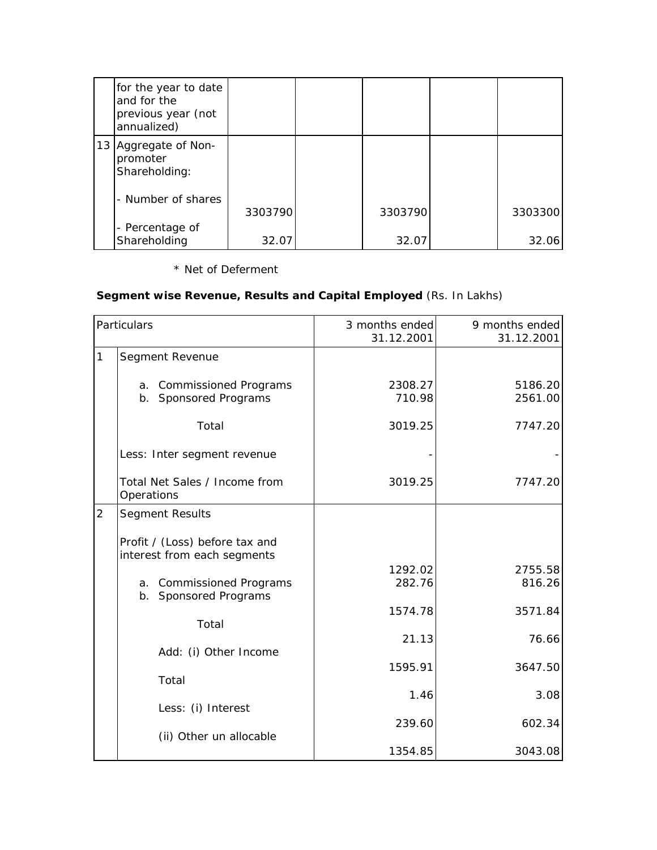| for the year to date<br>and for the<br>previous year (not<br>annualized) |         |         |         |
|--------------------------------------------------------------------------|---------|---------|---------|
| 13 Aggregate of Non-<br>promoter<br>Shareholding:                        |         |         |         |
| - Number of shares                                                       | 3303790 | 3303790 | 3303300 |
| - Percentage of<br>Shareholding                                          | 32.07   | 32.07   | 32.06   |

## \* Net of Deferment

## **Segment wise Revenue, Results and Capital Employed** (Rs. In Lakhs)

| Particulars    |                                                               | 3 months ended<br>31.12.2001 | 9 months ended<br>31.12.2001 |
|----------------|---------------------------------------------------------------|------------------------------|------------------------------|
| 1              | Segment Revenue                                               |                              |                              |
|                | a. Commissioned Programs<br>b. Sponsored Programs             | 2308.27<br>710.98            | 5186.20<br>2561.00           |
|                | Total                                                         | 3019.25                      | 7747.20                      |
|                | Less: Inter segment revenue                                   |                              |                              |
|                | Total Net Sales / Income from<br>Operations                   | 3019.25                      | 7747.20                      |
| $\overline{2}$ | <b>Segment Results</b>                                        |                              |                              |
|                | Profit / (Loss) before tax and<br>interest from each segments |                              |                              |
|                | a. Commissioned Programs<br>b. Sponsored Programs             | 1292.02<br>282.76            | 2755.58<br>816.26            |
|                | Total                                                         | 1574.78                      | 3571.84                      |
|                | Add: (i) Other Income                                         | 21.13                        | 76.66                        |
|                | Total                                                         | 1595.91                      | 3647.50                      |
|                |                                                               | 1.46                         | 3.08                         |
|                | Less: (i) Interest                                            | 239.60                       | 602.34                       |
|                | (ii) Other un allocable                                       | 1354.85                      | 3043.08                      |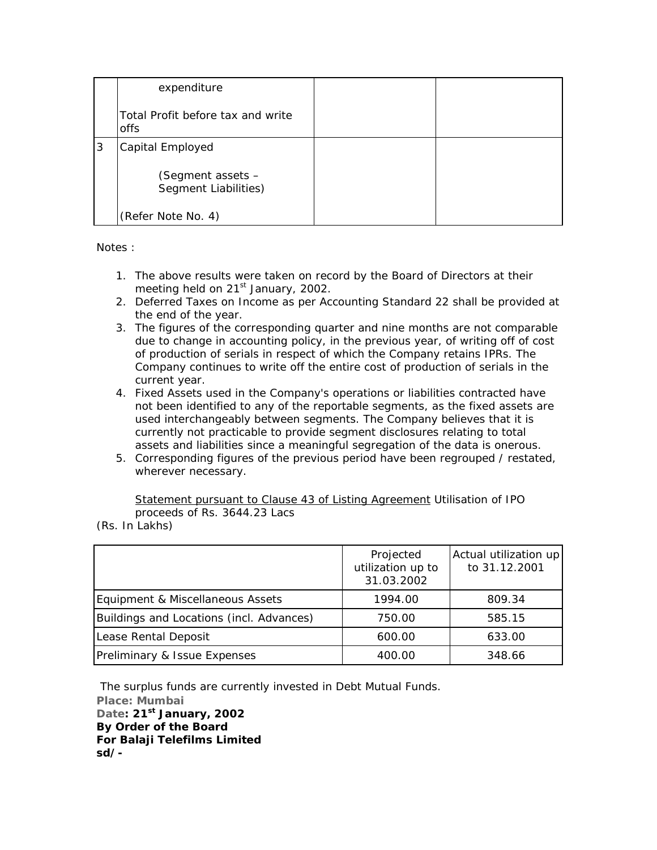|   | expenditure                               |  |
|---|-------------------------------------------|--|
|   | Total Profit before tax and write<br>offs |  |
| 3 | Capital Employed                          |  |
|   | (Segment assets -<br>Segment Liabilities) |  |
|   | (Refer Note No. 4)                        |  |

Notes :

- 1. The above results were taken on record by the Board of Directors at their meeting held on 21<sup>st</sup> January, 2002.
- 2. Deferred Taxes on Income as per Accounting Standard 22 shall be provided at the end of the year.
- 3. The figures of the corresponding quarter and nine months are not comparable due to change in accounting policy, in the previous year, of writing off of cost of production of serials in respect of which the Company retains IPRs. The Company continues to write off the entire cost of production of serials in the current year.
- 4. Fixed Assets used in the Company's operations or liabilities contracted have not been identified to any of the reportable segments, as the fixed assets are used interchangeably between segments. The Company believes that it is currently not practicable to provide segment disclosures relating to total assets and liabilities since a meaningful segregation of the data is onerous.
- 5. Corresponding figures of the previous period have been regrouped / restated, wherever necessary.

Statement pursuant to Clause 43 of Listing Agreement Utilisation of IPO proceeds of Rs. 3644.23 Lacs

(Rs. In Lakhs)

|                                          | Projected<br>utilization up to<br>31.03.2002 | Actual utilization up<br>to 31.12.2001 |
|------------------------------------------|----------------------------------------------|----------------------------------------|
| Equipment & Miscellaneous Assets         | 1994.00                                      | 809.34                                 |
| Buildings and Locations (incl. Advances) | 750.00                                       | 585.15                                 |
| Lease Rental Deposit                     | 600.00                                       | 633.00                                 |
| Preliminary & Issue Expenses             | 400.00                                       | 348.66                                 |

 The surplus funds are currently invested in Debt Mutual Funds. **Place: Mumbai Date: 21st January, 2002 By Order of the Board For Balaji Telefilms Limited sd/-**